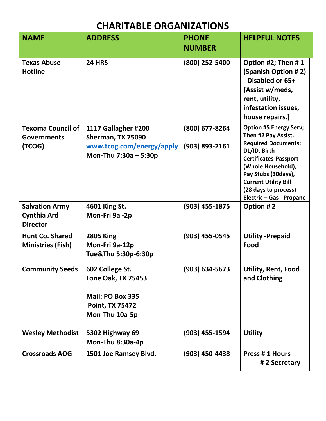## **CHARITABLE ORGANIZATIONS**

| <b>NAME</b>                                                    | <b>ADDRESS</b>                                                                                               | <b>PHONE</b>                     | <b>HELPFUL NOTES</b>                                                                                                                                                                                                                                               |
|----------------------------------------------------------------|--------------------------------------------------------------------------------------------------------------|----------------------------------|--------------------------------------------------------------------------------------------------------------------------------------------------------------------------------------------------------------------------------------------------------------------|
|                                                                |                                                                                                              | <b>NUMBER</b>                    |                                                                                                                                                                                                                                                                    |
| <b>Texas Abuse</b><br><b>Hotline</b>                           | <b>24 HRS</b>                                                                                                | (800) 252-5400                   | Option #2; Then #1<br>(Spanish Option #2)<br>- Disabled or 65+<br>[Assist w/meds,<br>rent, utility,<br>infestation issues,<br>house repairs.]                                                                                                                      |
| <b>Texoma Council of</b><br><b>Governments</b><br>(TCOG)       | 1117 Gallagher #200<br>Sherman, TX 75090<br>www.tcog.com/energy/apply<br>Mon-Thu 7:30a - 5:30p               | (800) 677-8264<br>(903) 893-2161 | <b>Option #5 Energy Serv;</b><br>Then #2 Pay Assist.<br><b>Required Documents:</b><br>DL/ID, Birth<br><b>Certificates-Passport</b><br>(Whole Household),<br>Pay Stubs (30days),<br><b>Current Utility Bill</b><br>(28 days to process)<br>Electric - Gas - Propane |
| <b>Salvation Army</b><br><b>Cynthia Ard</b><br><b>Director</b> | 4601 King St.<br>Mon-Fri 9a -2p                                                                              | (903) 455-1875                   | Option #2                                                                                                                                                                                                                                                          |
| <b>Hunt Co. Shared</b><br><b>Ministries (Fish)</b>             | <b>2805 King</b><br>Mon-Fri 9a-12p<br>Tue&Thu 5:30p-6:30p                                                    | (903) 455-0545                   | <b>Utility - Prepaid</b><br>Food                                                                                                                                                                                                                                   |
| <b>Community Seeds</b>                                         | 602 College St.<br><b>Lone Oak, TX 75453</b><br>Mail: PO Box 335<br><b>Point, TX 75472</b><br>Mon-Thu 10a-5p | $(903) 634 - 5673$               | Utility, Rent, Food<br>and Clothing                                                                                                                                                                                                                                |
| <b>Wesley Methodist</b>                                        | <b>5302 Highway 69</b><br>Mon-Thu 8:30a-4p                                                                   | (903) 455-1594                   | <b>Utility</b>                                                                                                                                                                                                                                                     |
| <b>Crossroads AOG</b>                                          | 1501 Joe Ramsey Blvd.                                                                                        | (903) 450-4438                   | <b>Press #1 Hours</b><br>#2 Secretary                                                                                                                                                                                                                              |